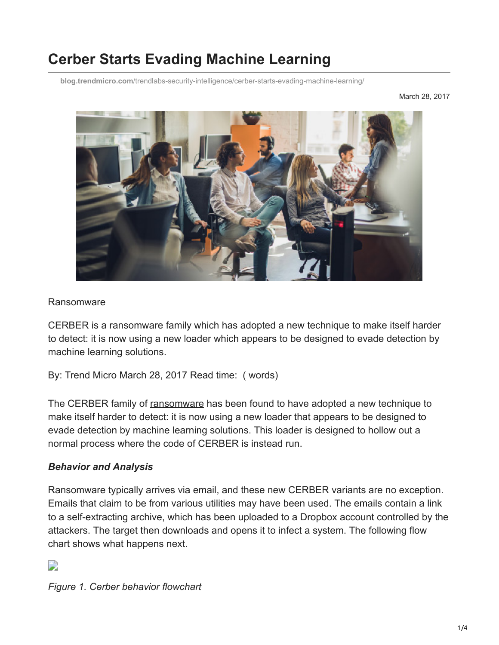# **Cerber Starts Evading Machine Learning**

**blog.trendmicro.com**[/trendlabs-security-intelligence/cerber-starts-evading-machine-learning/](http://blog.trendmicro.com/trendlabs-security-intelligence/cerber-starts-evading-machine-learning/)

March 28, 2017



#### Ransomware

CERBER is a ransomware family which has adopted a new technique to make itself harder to detect: it is now using a new loader which appears to be designed to evade detection by machine learning solutions.

By: Trend Micro March 28, 2017 Read time: ( words)

The CERBER family of [ransomware](https://www.trendmicro.com/vinfo/us/security/definition/Ransomware) has been found to have adopted a new technique to make itself harder to detect: it is now using a new loader that appears to be designed to evade detection by machine learning solutions. This loader is designed to hollow out a normal process where the code of CERBER is instead run.

#### *Behavior and Analysis*

Ransomware typically arrives via email, and these new CERBER variants are no exception. Emails that claim to be from various utilities may have been used. The emails contain a link to a self-extracting archive, which has been uploaded to a Dropbox account controlled by the attackers. The target then downloads and opens it to infect a system. The following flow chart shows what happens next.

## D

*Figure 1. Cerber behavior flowchart*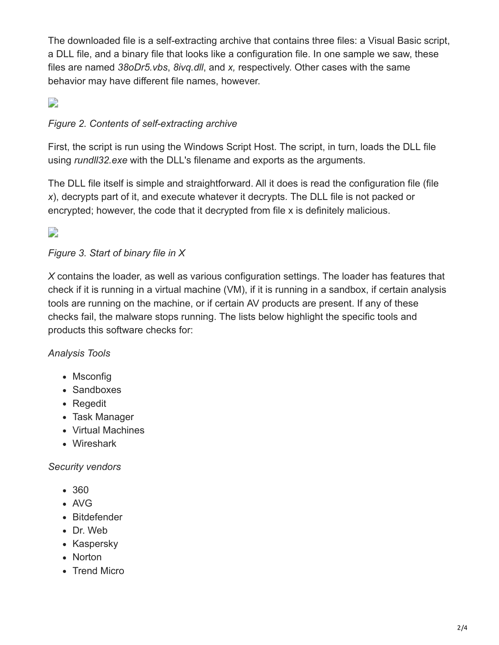The downloaded file is a self-extracting archive that contains three files: a Visual Basic script, a DLL file, and a binary file that looks like a configuration file. In one sample we saw, these files are named *38oDr5.vbs*, *8ivq.dll*, and *x,* respectively. Other cases with the same behavior may have different file names, however.

# $\mathbf{L}$

## *Figure 2. Contents of self-extracting archive*

First, the script is run using the Windows Script Host. The script, in turn, loads the DLL file using *rundll32.exe* with the DLL's filename and exports as the arguments.

The DLL file itself is simple and straightforward. All it does is read the configuration file (file *x*), decrypts part of it, and execute whatever it decrypts. The DLL file is not packed or encrypted; however, the code that it decrypted from file x is definitely malicious.

 $\overline{\phantom{a}}$ 

## *Figure 3. Start of binary file in X*

*X* contains the loader, as well as various configuration settings. The loader has features that check if it is running in a virtual machine (VM), if it is running in a sandbox, if certain analysis tools are running on the machine, or if certain AV products are present. If any of these checks fail, the malware stops running. The lists below highlight the specific tools and products this software checks for:

*Analysis Tools*

- Msconfig
- Sandboxes
- Regedit
- Task Manager
- Virtual Machines
- Wireshark

#### *Security vendors*

- 360
- AVG
- Bitdefender
- Dr. Web
- Kaspersky
- Norton
- Trend Micro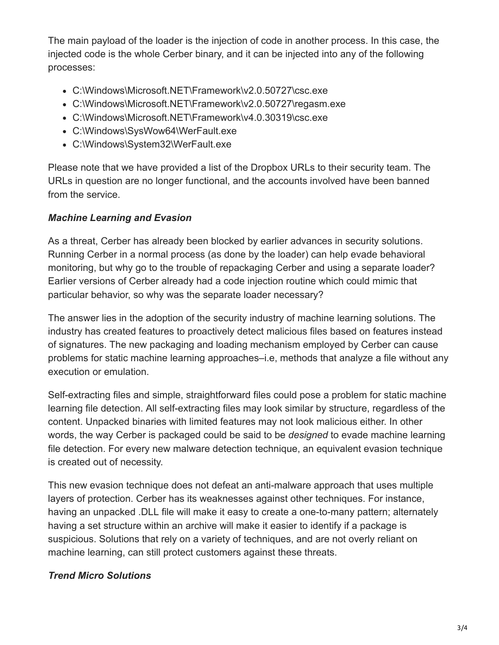The main payload of the loader is the injection of code in another process. In this case, the injected code is the whole Cerber binary, and it can be injected into any of the following processes:

- C:\Windows\Microsoft.NET\Framework\v2.0.50727\csc.exe
- C:\Windows\Microsoft.NET\Framework\v2.0.50727\regasm.exe
- C:\Windows\Microsoft.NET\Framework\v4.0.30319\csc.exe
- C:\Windows\SysWow64\WerFault.exe
- C:\Windows\System32\WerFault.exe

Please note that we have provided a list of the Dropbox URLs to their security team. The URLs in question are no longer functional, and the accounts involved have been banned from the service.

# *Machine Learning and Evasion*

As a threat, Cerber has already been blocked by earlier advances in security solutions. Running Cerber in a normal process (as done by the loader) can help evade behavioral monitoring, but why go to the trouble of repackaging Cerber and using a separate loader? Earlier versions of Cerber already had a code injection routine which could mimic that particular behavior, so why was the separate loader necessary?

The answer lies in the adoption of the security industry of machine learning solutions. The industry has created features to proactively detect malicious files based on features instead of signatures. The new packaging and loading mechanism employed by Cerber can cause problems for static machine learning approaches–i.e, methods that analyze a file without any execution or emulation.

Self-extracting files and simple, straightforward files could pose a problem for static machine learning file detection. All self-extracting files may look similar by structure, regardless of the content. Unpacked binaries with limited features may not look malicious either. In other words, the way Cerber is packaged could be said to be *designed* to evade machine learning file detection. For every new malware detection technique, an equivalent evasion technique is created out of necessity.

This new evasion technique does not defeat an anti-malware approach that uses multiple layers of protection. Cerber has its weaknesses against other techniques. For instance, having an unpacked .DLL file will make it easy to create a one-to-many pattern; alternately having a set structure within an archive will make it easier to identify if a package is suspicious. Solutions that rely on a variety of techniques, and are not overly reliant on machine learning, can still protect customers against these threats.

# *Trend Micro Solutions*